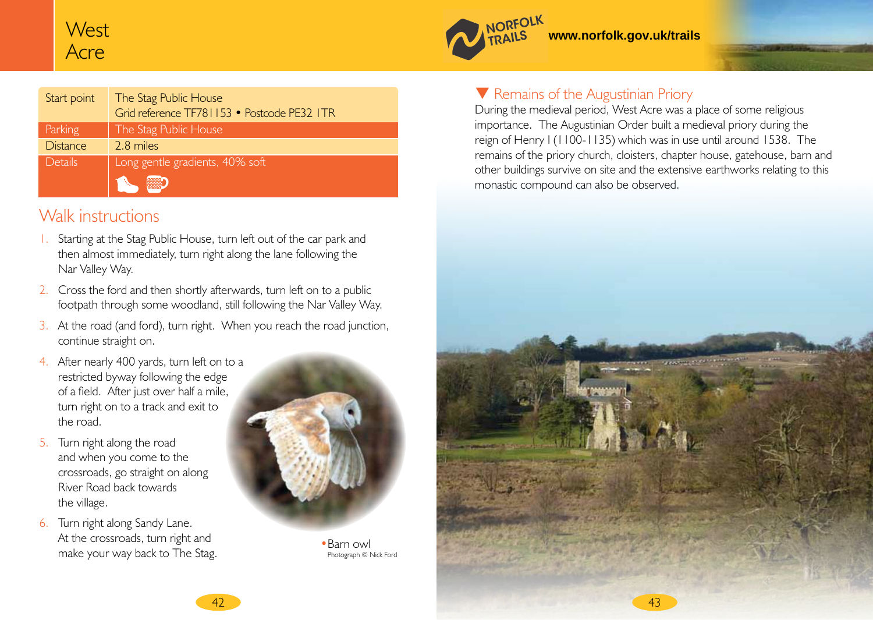# **West** Acre

| Start point     | The Stag Public House<br>Grid reference TF781153 • Postcode PE32 ITR |
|-----------------|----------------------------------------------------------------------|
| Parking         | The Stag Public House                                                |
| <b>Distance</b> | 2.8 miles                                                            |
| Details         | Long gentle gradients, 40% soft                                      |
|                 |                                                                      |

### Walk instructions

- 1. Starting at the Stag Public House, turn left out of the car park and then almost immediately, turn right along the lane following the Nar Valley Way.
- 2. Cross the ford and then shortly afterwards, turn left on to a public footpath through some woodland, still following the Nar Valley Way.
- 3. At the road (and ford), turn right. When you reach the road junction, continue straight on.
- 4. After nearly 400 yards, turn left on to a restricted byway following the edge of a field. After just over half a mile, turn right on to a track and exit to the road.
- 5. Turn right along the road and when you come to the crossroads, go straight on along River Road back towards the village.
- 6. Turn right along Sandy Lane. At the crossroads, turn right and make your way back to The Stag.



•Barn owl Photograph © Nick Ford

### **V** Remains of the Augustinian Priory

NORFOLK

**www.norfolk.gov.uk/trails** 

During the medieval period, West Acre was a place of some religious importance. The Augustinian Order built a medieval priory during the reign of Henry I (1100-1135) which was in use until around 1538. The remains of the priory church, cloisters, chapter house, gatehouse, barn and other buildings survive on site and the extensive earthworks relating to this monastic compound can also be observed.